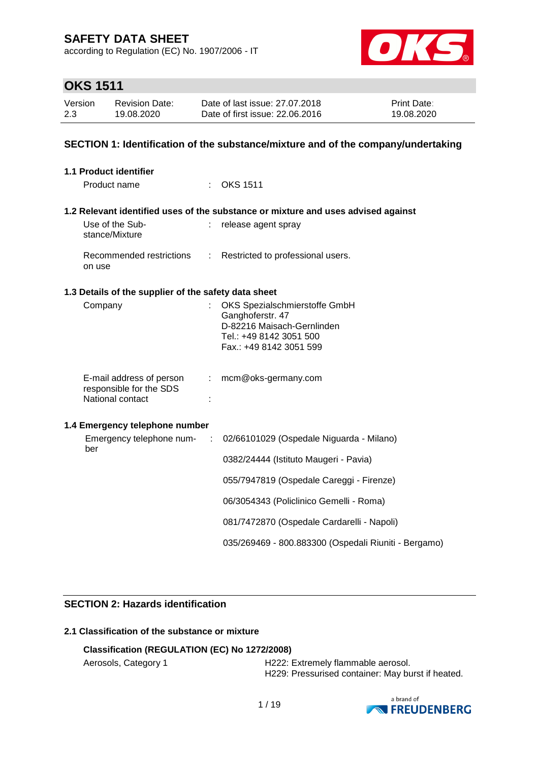according to Regulation (EC) No. 1907/2006 - IT



## **OKS 1511**

| Version | <b>Revision Date:</b> | Date of last issue: 27,07,2018  | <b>Print Date:</b> |
|---------|-----------------------|---------------------------------|--------------------|
| 2.3     | 19.08.2020            | Date of first issue: 22,06,2016 | 19.08.2020         |

### **SECTION 1: Identification of the substance/mixture and of the company/undertaking**

| <b>1.1 Product identifier</b>                                           |                            |                                                                                                                                       |
|-------------------------------------------------------------------------|----------------------------|---------------------------------------------------------------------------------------------------------------------------------------|
| Product name                                                            |                            | $\therefore$ OKS 1511                                                                                                                 |
|                                                                         |                            | 1.2 Relevant identified uses of the substance or mixture and uses advised against                                                     |
| Use of the Sub-<br>stance/Mixture                                       | ÷                          | release agent spray                                                                                                                   |
| Recommended restrictions<br>on use                                      | $\mathcal{L}^{\text{max}}$ | Restricted to professional users.                                                                                                     |
| 1.3 Details of the supplier of the safety data sheet                    |                            |                                                                                                                                       |
| Company                                                                 |                            | OKS Spezialschmierstoffe GmbH<br>Ganghoferstr. 47<br>D-82216 Maisach-Gernlinden<br>Tel.: +49 8142 3051 500<br>Fax.: +49 8142 3051 599 |
| E-mail address of person<br>responsible for the SDS<br>National contact | $\mathbb{Z}^n$ .           | mcm@oks-germany.com                                                                                                                   |
| 1.4 Emergency telephone number                                          |                            |                                                                                                                                       |
| Emergency telephone num-<br>ber                                         | $\sim 100$                 | 02/66101029 (Ospedale Niguarda - Milano)                                                                                              |
|                                                                         |                            | 0382/24444 (Istituto Maugeri - Pavia)                                                                                                 |
|                                                                         |                            | 055/7947819 (Ospedale Careggi - Firenze)                                                                                              |
|                                                                         |                            | 06/3054343 (Policlinico Gemelli - Roma)                                                                                               |
|                                                                         |                            | 081/7472870 (Ospedale Cardarelli - Napoli)                                                                                            |
|                                                                         |                            | 035/269469 - 800.883300 (Ospedali Riuniti - Bergamo)                                                                                  |
|                                                                         |                            |                                                                                                                                       |

### **SECTION 2: Hazards identification**

### **2.1 Classification of the substance or mixture**

### **Classification (REGULATION (EC) No 1272/2008)**

Aerosols, Category 1 **H222: Extremely flammable aerosol.** H229: Pressurised container: May burst if heated.

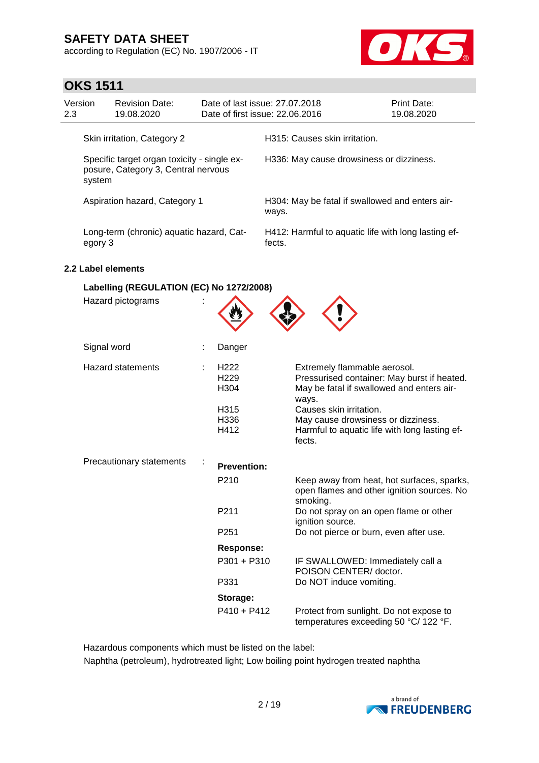according to Regulation (EC) No. 1907/2006 - IT



# **OKS 1511**

| Version<br>2.3 |                                                                                                                             | <b>Revision Date:</b><br>19.08.2020      |  | Date of last issue: 27.07.2018<br>Date of first issue: 22.06.2016 |                                                               |                                                                                                                                   | <b>Print Date:</b><br>19.08.2020 |
|----------------|-----------------------------------------------------------------------------------------------------------------------------|------------------------------------------|--|-------------------------------------------------------------------|---------------------------------------------------------------|-----------------------------------------------------------------------------------------------------------------------------------|----------------------------------|
|                | Skin irritation, Category 2<br>Specific target organ toxicity - single ex-<br>posure, Category 3, Central nervous<br>system |                                          |  |                                                                   |                                                               | H315: Causes skin irritation.                                                                                                     |                                  |
|                |                                                                                                                             |                                          |  |                                                                   | H336: May cause drowsiness or dizziness.                      |                                                                                                                                   |                                  |
|                |                                                                                                                             | Aspiration hazard, Category 1            |  |                                                                   | ways.                                                         | H304: May be fatal if swallowed and enters air-                                                                                   |                                  |
|                | egory 3                                                                                                                     | Long-term (chronic) aquatic hazard, Cat- |  |                                                                   | H412: Harmful to aquatic life with long lasting ef-<br>fects. |                                                                                                                                   |                                  |
|                |                                                                                                                             | 2.2 Label elements                       |  |                                                                   |                                                               |                                                                                                                                   |                                  |
|                |                                                                                                                             | Labelling (REGULATION (EC) No 1272/2008) |  |                                                                   |                                                               |                                                                                                                                   |                                  |
|                | Hazard pictograms                                                                                                           |                                          |  |                                                                   |                                                               |                                                                                                                                   |                                  |
|                | Signal word                                                                                                                 |                                          |  | Danger                                                            |                                                               |                                                                                                                                   |                                  |
|                |                                                                                                                             | <b>Hazard statements</b>                 |  | H <sub>222</sub><br>H <sub>229</sub><br>H304                      |                                                               | Extremely flammable aerosol.<br>Pressurised container: May burst if heated.<br>May be fatal if swallowed and enters air-<br>ways. |                                  |
|                |                                                                                                                             |                                          |  | H315<br>H336<br>H412                                              |                                                               | Causes skin irritation.<br>May cause drowsiness or dizziness.<br>Harmful to aquatic life with long lasting ef-<br>fects.          |                                  |
|                |                                                                                                                             | Precautionary statements                 |  | <b>Prevention:</b>                                                |                                                               |                                                                                                                                   |                                  |
|                |                                                                                                                             |                                          |  | P210                                                              |                                                               | Keep away from heat, hot surfaces, sparks,<br>open flames and other ignition sources. No<br>smoking.                              |                                  |
|                |                                                                                                                             |                                          |  | P211                                                              |                                                               | Do not spray on an open flame or other<br>ignition source.                                                                        |                                  |
|                |                                                                                                                             |                                          |  | P <sub>251</sub>                                                  |                                                               | Do not pierce or burn, even after use.                                                                                            |                                  |
|                |                                                                                                                             |                                          |  | <b>Response:</b>                                                  |                                                               |                                                                                                                                   |                                  |
|                |                                                                                                                             |                                          |  | P301 + P310                                                       |                                                               | IF SWALLOWED: Immediately call a<br>POISON CENTER/doctor.                                                                         |                                  |
|                |                                                                                                                             |                                          |  | P331                                                              |                                                               | Do NOT induce vomiting.                                                                                                           |                                  |
|                |                                                                                                                             |                                          |  | Storage:                                                          |                                                               |                                                                                                                                   |                                  |
|                |                                                                                                                             |                                          |  | $P410 + P412$                                                     |                                                               | Protect from sunlight. Do not expose to<br>temperatures exceeding 50 °C/ 122 °F.                                                  |                                  |

Hazardous components which must be listed on the label: Naphtha (petroleum), hydrotreated light; Low boiling point hydrogen treated naphtha

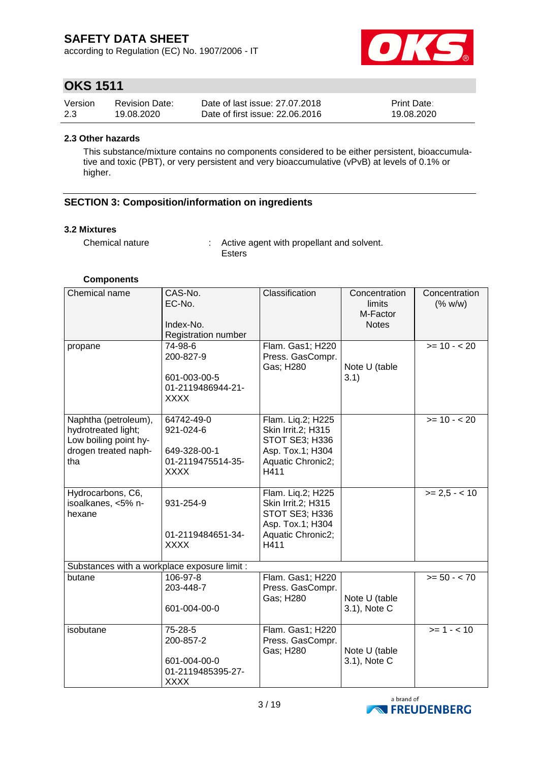according to Regulation (EC) No. 1907/2006 - IT



## **OKS 1511**

| Version | <b>Revision Date:</b> | Date of last issue: 27.07.2018  | <b>Print Date:</b> |
|---------|-----------------------|---------------------------------|--------------------|
| 2.3     | 19.08.2020            | Date of first issue: 22.06.2016 | 19.08.2020         |

### **2.3 Other hazards**

This substance/mixture contains no components considered to be either persistent, bioaccumulative and toxic (PBT), or very persistent and very bioaccumulative (vPvB) at levels of 0.1% or higher.

### **SECTION 3: Composition/information on ingredients**

#### **3.2 Mixtures**

Chemical nature : Active agent with propellant and solvent. Esters

#### **Components**

| Chemical name                                                                                       | CAS-No.<br>EC-No.<br>Index-No.<br>Registration number                       | Classification                                                                                             | Concentration<br>limits<br>M-Factor<br><b>Notes</b> | Concentration<br>(% w/w)   |
|-----------------------------------------------------------------------------------------------------|-----------------------------------------------------------------------------|------------------------------------------------------------------------------------------------------------|-----------------------------------------------------|----------------------------|
| propane                                                                                             | 74-98-6<br>200-827-9<br>601-003-00-5<br>01-2119486944-21-<br><b>XXXX</b>    | Flam. Gas1; H220<br>Press. GasCompr.<br>Gas; H280                                                          | Note U (table<br>3.1)                               | $\overline{5}$ = 10 - < 20 |
| Naphtha (petroleum),<br>hydrotreated light;<br>Low boiling point hy-<br>drogen treated naph-<br>tha | 64742-49-0<br>921-024-6<br>649-328-00-1<br>01-2119475514-35-<br><b>XXXX</b> | Flam. Liq.2; H225<br>Skin Irrit.2; H315<br>STOT SE3; H336<br>Asp. Tox.1; H304<br>Aquatic Chronic2;<br>H411 |                                                     | $>= 10 - 20$               |
| Hydrocarbons, C6,<br>isoalkanes, <5% n-<br>hexane                                                   | 931-254-9<br>01-2119484651-34-<br><b>XXXX</b>                               | Flam. Liq.2; H225<br>Skin Irrit.2; H315<br>STOT SE3; H336<br>Asp. Tox.1; H304<br>Aquatic Chronic2;<br>H411 |                                                     | $>= 2.5 - 10$              |
| Substances with a workplace exposure limit :                                                        |                                                                             |                                                                                                            |                                                     |                            |
| butane                                                                                              | 106-97-8<br>203-448-7<br>601-004-00-0                                       | Flam. Gas1; H220<br>Press. GasCompr.<br>Gas; H280                                                          | Note U (table<br>3.1), Note C                       | $>= 50 - < 70$             |
| isobutane                                                                                           | 75-28-5<br>200-857-2<br>601-004-00-0<br>01-2119485395-27-<br><b>XXXX</b>    | Flam. Gas1; H220<br>Press. GasCompr.<br>Gas; H280                                                          | Note U (table<br>3.1), Note C                       | $>= 1 - 10$                |

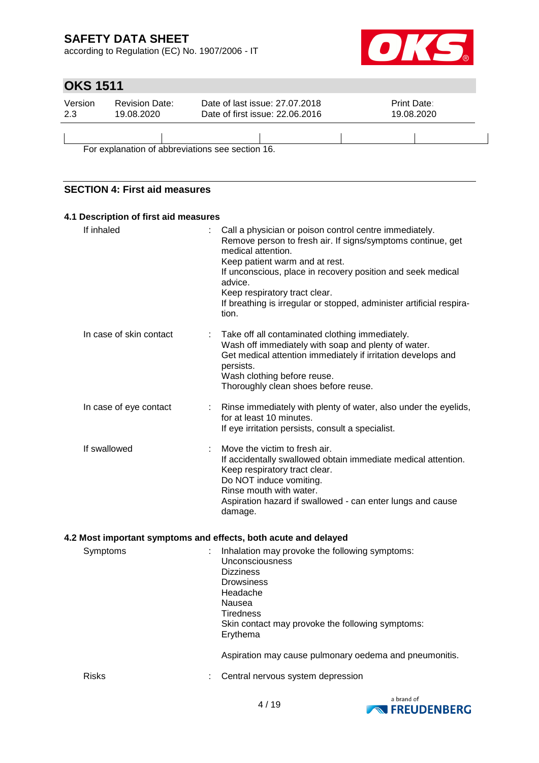according to Regulation (EC) No. 1907/2006 - IT



# **OKS 1511**

| Version<br>2.3                                   | <b>Revision Date:</b><br>19.08.2020 | Date of last issue: 27,07,2018<br>Date of first issue: 22.06.2016 |  | <b>Print Date:</b><br>19.08.2020 |  |  |  |  |
|--------------------------------------------------|-------------------------------------|-------------------------------------------------------------------|--|----------------------------------|--|--|--|--|
|                                                  |                                     |                                                                   |  |                                  |  |  |  |  |
| For explanation of abbreviations see section 16. |                                     |                                                                   |  |                                  |  |  |  |  |

**SECTION 4: First aid measures**

| 4.1 Description of first aid measures |                                                                                                                                                                                                                                                                                                                                                                                                        |
|---------------------------------------|--------------------------------------------------------------------------------------------------------------------------------------------------------------------------------------------------------------------------------------------------------------------------------------------------------------------------------------------------------------------------------------------------------|
| If inhaled                            | Call a physician or poison control centre immediately.<br>$\mathbb{R}^{\mathbb{Z}}$<br>Remove person to fresh air. If signs/symptoms continue, get<br>medical attention.<br>Keep patient warm and at rest.<br>If unconscious, place in recovery position and seek medical<br>advice.<br>Keep respiratory tract clear.<br>If breathing is irregular or stopped, administer artificial respira-<br>tion. |
| In case of skin contact               | Take off all contaminated clothing immediately.<br>Wash off immediately with soap and plenty of water.<br>Get medical attention immediately if irritation develops and<br>persists.<br>Wash clothing before reuse.<br>Thoroughly clean shoes before reuse.                                                                                                                                             |
| In case of eye contact                | Rinse immediately with plenty of water, also under the eyelids,<br>for at least 10 minutes.<br>If eye irritation persists, consult a specialist.                                                                                                                                                                                                                                                       |
| If swallowed                          | Move the victim to fresh air.<br>If accidentally swallowed obtain immediate medical attention.<br>Keep respiratory tract clear.<br>Do NOT induce vomiting.<br>Rinse mouth with water.<br>Aspiration hazard if swallowed - can enter lungs and cause<br>damage.                                                                                                                                         |

### **4.2 Most important symptoms and effects, both acute and delayed**

| Symptoms     | Inhalation may provoke the following symptoms:<br><b>Unconsciousness</b><br><b>Dizziness</b><br><b>Drowsiness</b><br>Headache<br>Nausea<br>Tiredness<br>Skin contact may provoke the following symptoms:<br>Erythema<br>Aspiration may cause pulmonary oedema and pneumonitis. |
|--------------|--------------------------------------------------------------------------------------------------------------------------------------------------------------------------------------------------------------------------------------------------------------------------------|
| <b>Risks</b> | Central nervous system depression                                                                                                                                                                                                                                              |

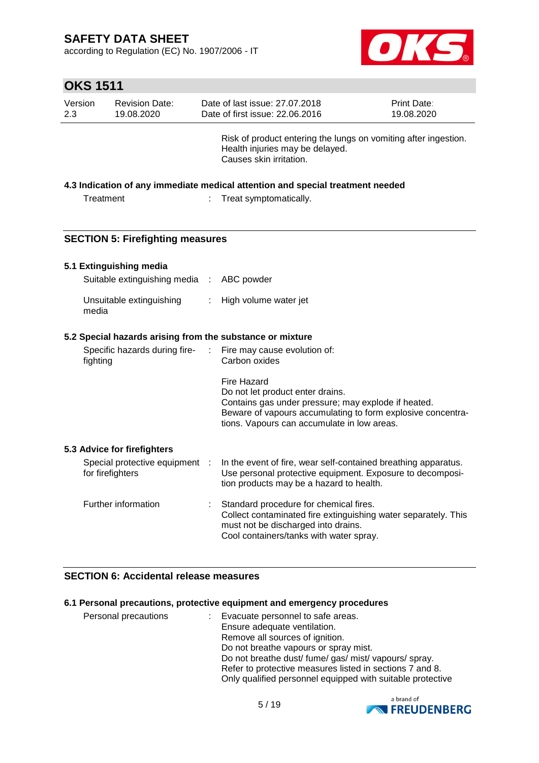according to Regulation (EC) No. 1907/2006 - IT



| Version<br>2.3 | <b>Revision Date:</b><br>19.08.2020                |   | Date of last issue: 27.07.2018<br>Date of first issue: 22.06.2016                                                                                                                          | Print Date:<br>19.08.2020 |
|----------------|----------------------------------------------------|---|--------------------------------------------------------------------------------------------------------------------------------------------------------------------------------------------|---------------------------|
|                |                                                    |   | Risk of product entering the lungs on vomiting after ingestion.<br>Health injuries may be delayed.<br>Causes skin irritation.                                                              |                           |
|                |                                                    |   |                                                                                                                                                                                            |                           |
|                |                                                    |   | 4.3 Indication of any immediate medical attention and special treatment needed                                                                                                             |                           |
| Treatment      |                                                    | ÷ | Treat symptomatically.                                                                                                                                                                     |                           |
|                |                                                    |   |                                                                                                                                                                                            |                           |
|                |                                                    |   |                                                                                                                                                                                            |                           |
|                | <b>SECTION 5: Firefighting measures</b>            |   |                                                                                                                                                                                            |                           |
|                | 5.1 Extinguishing media                            |   |                                                                                                                                                                                            |                           |
|                | Suitable extinguishing media :                     |   | ABC powder                                                                                                                                                                                 |                           |
|                |                                                    |   |                                                                                                                                                                                            |                           |
| media          | Unsuitable extinguishing                           | ÷ | High volume water jet                                                                                                                                                                      |                           |
|                |                                                    |   | 5.2 Special hazards arising from the substance or mixture                                                                                                                                  |                           |
|                |                                                    |   |                                                                                                                                                                                            |                           |
| fighting       | Specific hazards during fire-                      |   | Fire may cause evolution of:<br>Carbon oxides                                                                                                                                              |                           |
|                |                                                    |   | <b>Fire Hazard</b>                                                                                                                                                                         |                           |
|                |                                                    |   | Do not let product enter drains.                                                                                                                                                           |                           |
|                |                                                    |   | Contains gas under pressure; may explode if heated.                                                                                                                                        |                           |
|                |                                                    |   | Beware of vapours accumulating to form explosive concentra-                                                                                                                                |                           |
|                |                                                    |   | tions. Vapours can accumulate in low areas.                                                                                                                                                |                           |
|                |                                                    |   |                                                                                                                                                                                            |                           |
|                | 5.3 Advice for firefighters                        |   |                                                                                                                                                                                            |                           |
|                | Special protective equipment :<br>for firefighters |   | In the event of fire, wear self-contained breathing apparatus.<br>Use personal protective equipment. Exposure to decomposi-<br>tion products may be a hazard to health.                    |                           |
|                | Further information                                |   | Standard procedure for chemical fires.<br>Collect contaminated fire extinguishing water separately. This<br>must not be discharged into drains.<br>Cool containers/tanks with water spray. |                           |

### **SECTION 6: Accidental release measures**

### **6.1 Personal precautions, protective equipment and emergency procedures**

| Personal precautions | Evacuate personnel to safe areas.                          |
|----------------------|------------------------------------------------------------|
|                      | Ensure adequate ventilation.                               |
|                      | Remove all sources of ignition.                            |
|                      | Do not breathe vapours or spray mist.                      |
|                      | Do not breathe dust/ fume/ gas/ mist/ vapours/ spray.      |
|                      | Refer to protective measures listed in sections 7 and 8.   |
|                      | Only qualified personnel equipped with suitable protective |

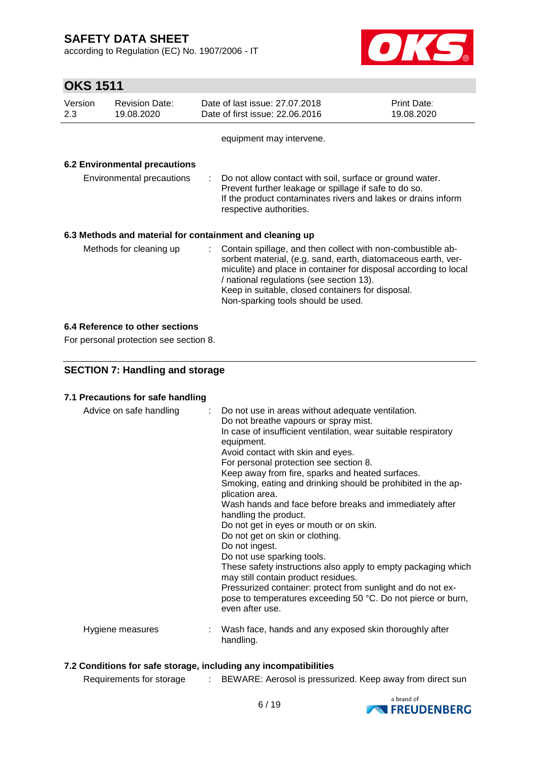according to Regulation (EC) No. 1907/2006 - IT



# **OKS 1511**

| Version<br>2.3            | <b>Revision Date:</b><br>19.08.2020  | Date of last issue: 27,07,2018<br>Date of first issue: 22.06.2016                                                                                                                                                                                                                                                                         | <b>Print Date:</b><br>19.08.2020 |  |
|---------------------------|--------------------------------------|-------------------------------------------------------------------------------------------------------------------------------------------------------------------------------------------------------------------------------------------------------------------------------------------------------------------------------------------|----------------------------------|--|
|                           |                                      | equipment may intervene.                                                                                                                                                                                                                                                                                                                  |                                  |  |
|                           | <b>6.2 Environmental precautions</b> |                                                                                                                                                                                                                                                                                                                                           |                                  |  |
| Environmental precautions |                                      | : Do not allow contact with soil, surface or ground water.<br>Prevent further leakage or spillage if safe to do so.<br>If the product contaminates rivers and lakes or drains inform<br>respective authorities.                                                                                                                           |                                  |  |
|                           |                                      | 6.3 Methods and material for containment and cleaning up                                                                                                                                                                                                                                                                                  |                                  |  |
| Methods for cleaning up   |                                      | : Contain spillage, and then collect with non-combustible ab-<br>sorbent material, (e.g. sand, earth, diatomaceous earth, ver-<br>miculite) and place in container for disposal according to local<br>/ national regulations (see section 13).<br>Keep in suitable, closed containers for disposal.<br>Non-sparking tools should be used. |                                  |  |

### **6.4 Reference to other sections**

For personal protection see section 8.

### **SECTION 7: Handling and storage**

### **7.1 Precautions for safe handling**

| Advice on safe handling | : Do not use in areas without adequate ventilation.<br>Do not breathe vapours or spray mist.<br>In case of insufficient ventilation, wear suitable respiratory<br>equipment.<br>Avoid contact with skin and eyes.<br>For personal protection see section 8.<br>Keep away from fire, sparks and heated surfaces.<br>Smoking, eating and drinking should be prohibited in the ap-<br>plication area.<br>Wash hands and face before breaks and immediately after<br>handling the product.<br>Do not get in eyes or mouth or on skin.<br>Do not get on skin or clothing.<br>Do not ingest.<br>Do not use sparking tools.<br>These safety instructions also apply to empty packaging which<br>may still contain product residues.<br>Pressurized container: protect from sunlight and do not ex-<br>pose to temperatures exceeding 50 °C. Do not pierce or burn,<br>even after use. |
|-------------------------|--------------------------------------------------------------------------------------------------------------------------------------------------------------------------------------------------------------------------------------------------------------------------------------------------------------------------------------------------------------------------------------------------------------------------------------------------------------------------------------------------------------------------------------------------------------------------------------------------------------------------------------------------------------------------------------------------------------------------------------------------------------------------------------------------------------------------------------------------------------------------------|
| Hygiene measures        | Wash face, hands and any exposed skin thoroughly after<br>handling.                                                                                                                                                                                                                                                                                                                                                                                                                                                                                                                                                                                                                                                                                                                                                                                                            |

### **7.2 Conditions for safe storage, including any incompatibilities**

Requirements for storage : BEWARE: Aerosol is pressurized. Keep away from direct sun

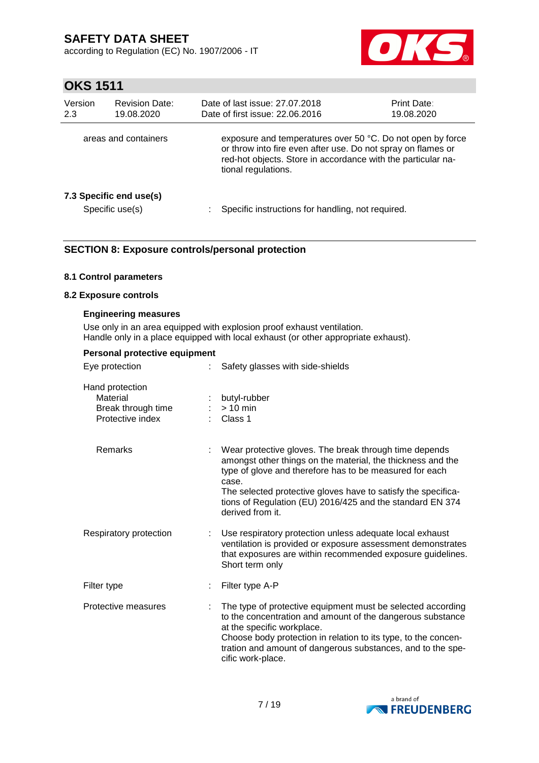according to Regulation (EC) No. 1907/2006 - IT



## **OKS 1511**

| Version<br>2.3       | <b>Revision Date:</b><br>19.08.2020        | Date of last issue: 27.07.2018<br>Date of first issue: 22.06.2016                                                                                                                                                 | <b>Print Date:</b><br>19.08.2020 |
|----------------------|--------------------------------------------|-------------------------------------------------------------------------------------------------------------------------------------------------------------------------------------------------------------------|----------------------------------|
| areas and containers |                                            | exposure and temperatures over 50 °C. Do not open by force<br>or throw into fire even after use. Do not spray on flames or<br>red-hot objects. Store in accordance with the particular na-<br>tional regulations. |                                  |
|                      | 7.3 Specific end use(s)<br>Specific use(s) | Specific instructions for handling, not required.                                                                                                                                                                 |                                  |

### **SECTION 8: Exposure controls/personal protection**

### **8.1 Control parameters**

#### **8.2 Exposure controls**

#### **Engineering measures**

Use only in an area equipped with explosion proof exhaust ventilation. Handle only in a place equipped with local exhaust (or other appropriate exhaust).

| Personal protective equipment                                         |  |                                                                                                                                                                                                                                                                                                                                             |  |  |
|-----------------------------------------------------------------------|--|---------------------------------------------------------------------------------------------------------------------------------------------------------------------------------------------------------------------------------------------------------------------------------------------------------------------------------------------|--|--|
| Eye protection                                                        |  | Safety glasses with side-shields                                                                                                                                                                                                                                                                                                            |  |  |
| Hand protection<br>Material<br>Break through time<br>Protective index |  | butyl-rubber<br>$> 10$ min<br>Class 1                                                                                                                                                                                                                                                                                                       |  |  |
| <b>Remarks</b>                                                        |  | Wear protective gloves. The break through time depends<br>amongst other things on the material, the thickness and the<br>type of glove and therefore has to be measured for each<br>case.<br>The selected protective gloves have to satisfy the specifica-<br>tions of Regulation (EU) 2016/425 and the standard EN 374<br>derived from it. |  |  |
| Respiratory protection                                                |  | Use respiratory protection unless adequate local exhaust<br>ventilation is provided or exposure assessment demonstrates<br>that exposures are within recommended exposure guidelines.<br>Short term only                                                                                                                                    |  |  |
| Filter type                                                           |  | Filter type A-P                                                                                                                                                                                                                                                                                                                             |  |  |
| Protective measures                                                   |  | The type of protective equipment must be selected according<br>to the concentration and amount of the dangerous substance<br>at the specific workplace.<br>Choose body protection in relation to its type, to the concen-<br>tration and amount of dangerous substances, and to the spe-<br>cific work-place.                               |  |  |

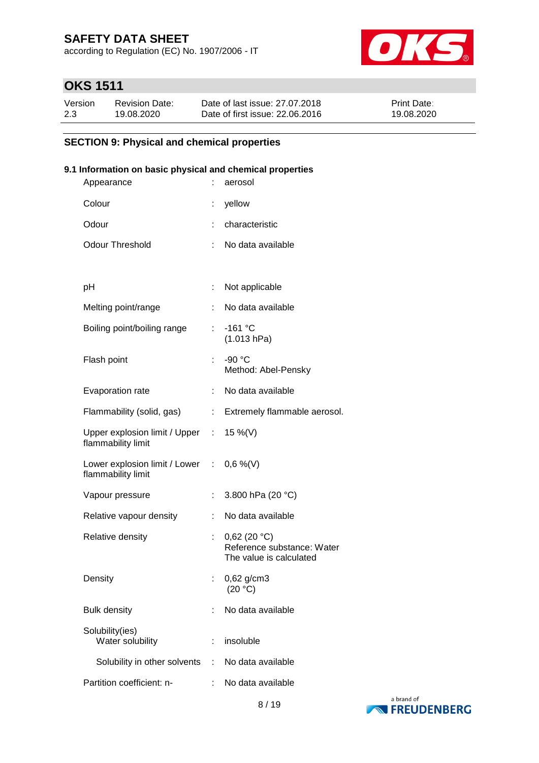according to Regulation (EC) No. 1907/2006 - IT



# **OKS 1511**

| Version | <b>Revision Date:</b> | Date of last issue: 27.07.2018  | <b>Print Date:</b> |
|---------|-----------------------|---------------------------------|--------------------|
| 2.3     | 19.08.2020            | Date of first issue: 22,06,2016 | 19.08.2020         |

### **SECTION 9: Physical and chemical properties**

### **9.1 Information on basic physical and chemical properties**

| Appearance                                                     |    | aerosol                                                              |
|----------------------------------------------------------------|----|----------------------------------------------------------------------|
| Colour                                                         |    | yellow                                                               |
| Odour                                                          |    | characteristic                                                       |
| <b>Odour Threshold</b>                                         | ÷  | No data available                                                    |
|                                                                |    |                                                                      |
| рH                                                             | ÷  | Not applicable                                                       |
| Melting point/range                                            |    | No data available                                                    |
| Boiling point/boiling range                                    | t. | $-161$ °C<br>(1.013 hPa)                                             |
| Flash point                                                    | ÷  | $-90 °C$<br>Method: Abel-Pensky                                      |
| Evaporation rate                                               |    | No data available                                                    |
| Flammability (solid, gas)                                      |    | : Extremely flammable aerosol.                                       |
| Upper explosion limit / Upper :<br>flammability limit          |    | 15 %(V)                                                              |
| Lower explosion limit / Lower : 0,6 %(V)<br>flammability limit |    |                                                                      |
| Vapour pressure                                                | t. | 3.800 hPa (20 °C)                                                    |
| Relative vapour density                                        | ÷  | No data available                                                    |
| Relative density                                               |    | 0,62(20 °C)<br>Reference substance: Water<br>The value is calculated |
| Density                                                        |    | $0,62$ g/cm3<br>(20 °C)                                              |
| <b>Bulk density</b>                                            |    | No data available                                                    |
| Solubility(ies)<br>Water solubility                            |    | insoluble                                                            |
| Solubility in other solvents                                   | ÷. | No data available                                                    |
| Partition coefficient: n-                                      |    | No data available                                                    |
|                                                                |    |                                                                      |

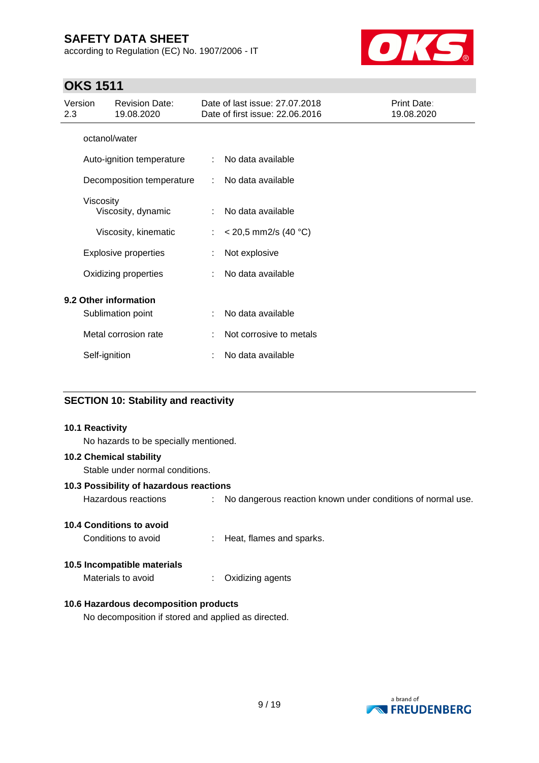according to Regulation (EC) No. 1907/2006 - IT



## **OKS 1511**

| Version<br>2.3 |               | <b>Revision Date:</b><br>19.08.2020        |    | Date of last issue: 27,07,2018<br>Date of first issue: 22.06.2016 | Print Date:<br>19.08.2020 |
|----------------|---------------|--------------------------------------------|----|-------------------------------------------------------------------|---------------------------|
|                | octanol/water |                                            |    |                                                                   |                           |
|                |               | Auto-ignition temperature                  | ÷  | No data available                                                 |                           |
|                |               | Decomposition temperature                  | ÷  | No data available                                                 |                           |
|                | Viscosity     | Viscosity, dynamic                         | ÷  | No data available                                                 |                           |
|                |               | Viscosity, kinematic                       | ÷. | $<$ 20,5 mm2/s (40 °C)                                            |                           |
|                |               | <b>Explosive properties</b>                |    | Not explosive                                                     |                           |
|                |               | Oxidizing properties                       |    | No data available                                                 |                           |
|                |               | 9.2 Other information<br>Sublimation point |    | No data available                                                 |                           |
|                |               | Metal corrosion rate                       |    | Not corrosive to metals                                           |                           |
|                | Self-ignition |                                            |    | No data available                                                 |                           |

### **SECTION 10: Stability and reactivity**

### **10.1 Reactivity**

No hazards to be specially mentioned.

### **10.2 Chemical stability**

Stable under normal conditions.

#### **10.3 Possibility of hazardous reactions**

Hazardous reactions : No dangerous reaction known under conditions of normal use.

### **10.4 Conditions to avoid**

Conditions to avoid : Heat, flames and sparks.

#### **10.5 Incompatible materials**

Materials to avoid : Oxidizing agents

### **10.6 Hazardous decomposition products**

No decomposition if stored and applied as directed.

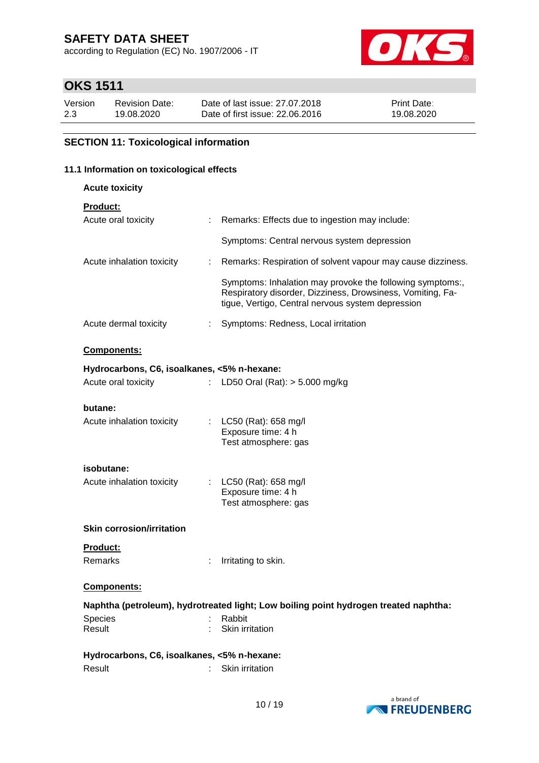according to Regulation (EC) No. 1907/2006 - IT



# **OKS 1511**

| Version | <b>Revision Date:</b> | Date of last issue: 27,07,2018  | <b>Print Date:</b> |
|---------|-----------------------|---------------------------------|--------------------|
| 2.3     | 19.08.2020            | Date of first issue: 22,06,2016 | 19.08.2020         |

### **SECTION 11: Toxicological information**

# **11.1 Information on toxicological effects**

**Acute toxicity**

| Product |  |
|---------|--|
|         |  |

| Acute oral toxicity                         | ÷.             | Remarks: Effects due to ingestion may include:                                                                                                                               |  |
|---------------------------------------------|----------------|------------------------------------------------------------------------------------------------------------------------------------------------------------------------------|--|
|                                             |                | Symptoms: Central nervous system depression                                                                                                                                  |  |
| Acute inhalation toxicity                   | t.             | Remarks: Respiration of solvent vapour may cause dizziness.                                                                                                                  |  |
|                                             |                | Symptoms: Inhalation may provoke the following symptoms:,<br>Respiratory disorder, Dizziness, Drowsiness, Vomiting, Fa-<br>tigue, Vertigo, Central nervous system depression |  |
| Acute dermal toxicity                       | ÷              | Symptoms: Redness, Local irritation                                                                                                                                          |  |
| <b>Components:</b>                          |                |                                                                                                                                                                              |  |
| Hydrocarbons, C6, isoalkanes, <5% n-hexane: |                |                                                                                                                                                                              |  |
| Acute oral toxicity                         | $\mathbb{R}^n$ | LD50 Oral (Rat): $> 5.000$ mg/kg                                                                                                                                             |  |
| butane:                                     |                |                                                                                                                                                                              |  |
| Acute inhalation toxicity                   |                | : LC50 (Rat): 658 mg/l<br>Exposure time: 4 h<br>Test atmosphere: gas                                                                                                         |  |
| isobutane:                                  |                |                                                                                                                                                                              |  |
| Acute inhalation toxicity                   |                | : LC50 (Rat): 658 mg/l<br>Exposure time: 4 h<br>Test atmosphere: gas                                                                                                         |  |
| <b>Skin corrosion/irritation</b>            |                |                                                                                                                                                                              |  |
| Product:                                    |                |                                                                                                                                                                              |  |
| Remarks                                     |                | Irritating to skin.                                                                                                                                                          |  |
| Components:                                 |                |                                                                                                                                                                              |  |
|                                             |                | Naphtha (petroleum), hydrotreated light; Low boiling point hydrogen treated naphtha:                                                                                         |  |
| <b>Species</b><br>Result                    |                | Rabbit<br>Skin irritation                                                                                                                                                    |  |
| Hydrocarbons, C6, isoalkanes, <5% n-hexane: |                |                                                                                                                                                                              |  |
| Result                                      |                | Skin irritation                                                                                                                                                              |  |

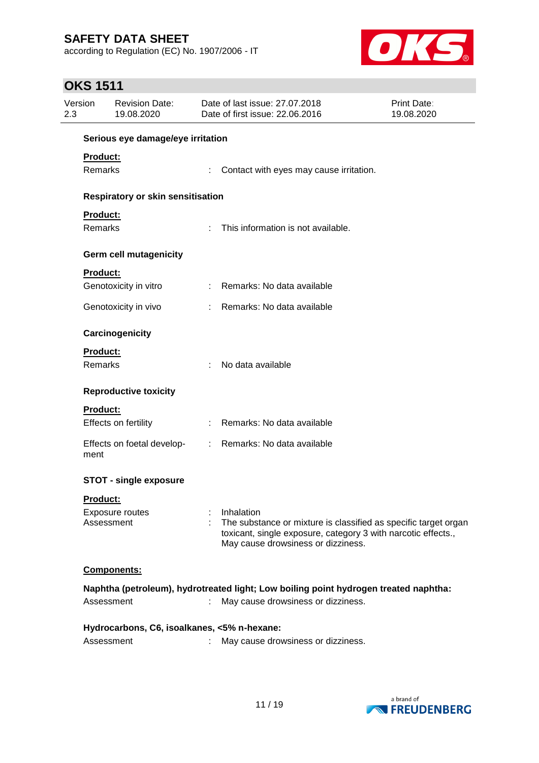according to Regulation (EC) No. 1907/2006 - IT



## **OKS 1511**

| Version<br>2.3 |                 | <b>Revision Date:</b><br>19.08.2020         |    | Date of last issue: 27.07.2018<br>Date of first issue: 22.06.2016                                                                                                      | Print Date:<br>19.08.2020 |
|----------------|-----------------|---------------------------------------------|----|------------------------------------------------------------------------------------------------------------------------------------------------------------------------|---------------------------|
|                |                 | Serious eye damage/eye irritation           |    |                                                                                                                                                                        |                           |
|                | <b>Product:</b> |                                             |    |                                                                                                                                                                        |                           |
|                | Remarks         |                                             |    | Contact with eyes may cause irritation.                                                                                                                                |                           |
|                |                 | Respiratory or skin sensitisation           |    |                                                                                                                                                                        |                           |
|                | Product:        |                                             |    |                                                                                                                                                                        |                           |
|                | Remarks         |                                             |    | This information is not available.                                                                                                                                     |                           |
|                |                 | <b>Germ cell mutagenicity</b>               |    |                                                                                                                                                                        |                           |
|                | Product:        |                                             |    |                                                                                                                                                                        |                           |
|                |                 | Genotoxicity in vitro                       |    | : Remarks: No data available                                                                                                                                           |                           |
|                |                 | Genotoxicity in vivo                        |    | Remarks: No data available                                                                                                                                             |                           |
|                |                 | Carcinogenicity                             |    |                                                                                                                                                                        |                           |
|                | Product:        |                                             |    |                                                                                                                                                                        |                           |
|                | <b>Remarks</b>  |                                             |    | No data available                                                                                                                                                      |                           |
|                |                 | <b>Reproductive toxicity</b>                |    |                                                                                                                                                                        |                           |
|                | Product:        |                                             |    |                                                                                                                                                                        |                           |
|                |                 | Effects on fertility                        |    | Remarks: No data available                                                                                                                                             |                           |
|                | ment            | Effects on foetal develop-                  |    | : Remarks: No data available                                                                                                                                           |                           |
|                |                 | <b>STOT - single exposure</b>               |    |                                                                                                                                                                        |                           |
|                | <u>Product:</u> |                                             |    |                                                                                                                                                                        |                           |
|                |                 | Exposure routes                             |    | Inhalation                                                                                                                                                             |                           |
|                |                 | Assessment                                  |    | The substance or mixture is classified as specific target organ<br>toxicant, single exposure, category 3 with narcotic effects.,<br>May cause drowsiness or dizziness. |                           |
|                |                 | Components:                                 |    |                                                                                                                                                                        |                           |
|                |                 |                                             |    | Naphtha (petroleum), hydrotreated light; Low boiling point hydrogen treated naphtha:                                                                                   |                           |
|                |                 | Assessment                                  |    | May cause drowsiness or dizziness.                                                                                                                                     |                           |
|                |                 | Hydrocarbons, C6, isoalkanes, <5% n-hexane: |    |                                                                                                                                                                        |                           |
|                |                 | Assessment                                  | t. | May cause drowsiness or dizziness.                                                                                                                                     |                           |

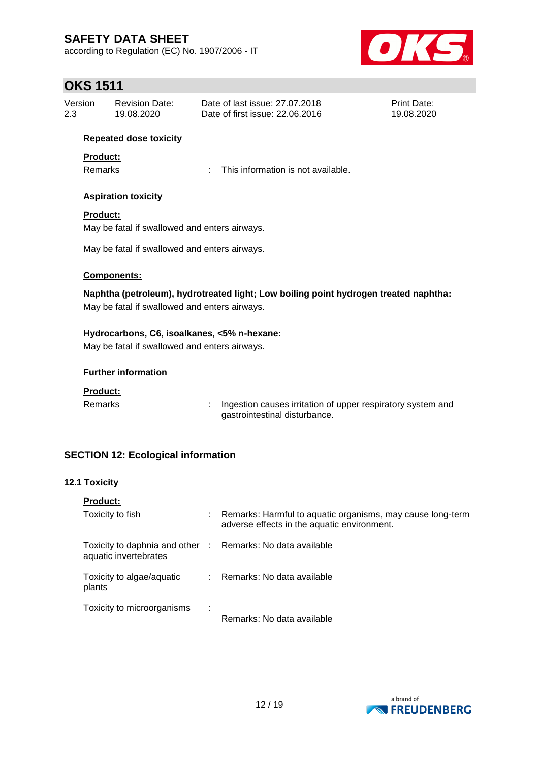according to Regulation (EC) No. 1907/2006 - IT



## **OKS 1511**

| Version | Revision Date: | Date of last issue: 27.07.2018  | <b>Print Date:</b> |
|---------|----------------|---------------------------------|--------------------|
| 2.3     | 19.08.2020     | Date of first issue: 22,06,2016 | 19.08.2020         |

### **Repeated dose toxicity**

### **Product:**

Remarks : This information is not available.

### **Aspiration toxicity**

### **Product:**

May be fatal if swallowed and enters airways.

May be fatal if swallowed and enters airways.

### **Components:**

**Naphtha (petroleum), hydrotreated light; Low boiling point hydrogen treated naphtha:** May be fatal if swallowed and enters airways.

### **Hydrocarbons, C6, isoalkanes, <5% n-hexane:**

May be fatal if swallowed and enters airways.

### **Further information**

### **Product:**

Remarks : Ingestion causes irritation of upper respiratory system and gastrointestinal disturbance.

### **SECTION 12: Ecological information**

### **12.1 Toxicity**

| <b>Product:</b>                                                                     |   |                                                                                                           |
|-------------------------------------------------------------------------------------|---|-----------------------------------------------------------------------------------------------------------|
| Toxicity to fish                                                                    |   | Remarks: Harmful to aquatic organisms, may cause long-term<br>adverse effects in the aquatic environment. |
| Toxicity to daphnia and other : Remarks: No data available<br>aquatic invertebrates |   |                                                                                                           |
| Toxicity to algae/aquatic<br>plants                                                 |   | Remarks: No data available                                                                                |
| Toxicity to microorganisms                                                          | ÷ | Remarks: No data available                                                                                |

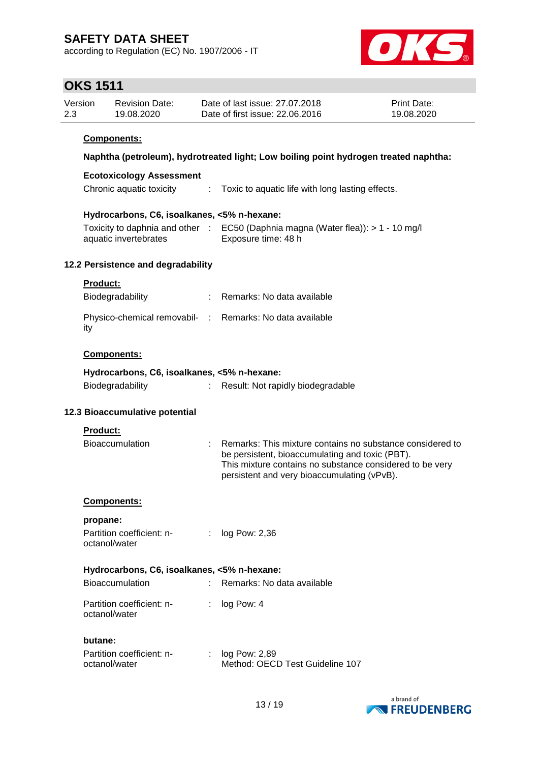according to Regulation (EC) No. 1907/2006 - IT



## **OKS 1511**

| Version | Revision Date: | Date of last issue: 27,07,2018  | <b>Print Date:</b> |
|---------|----------------|---------------------------------|--------------------|
| 2.3     | 19.08.2020     | Date of first issue: 22.06.2016 | 19.08.2020         |

### **Components:**

### **Naphtha (petroleum), hydrotreated light; Low boiling point hydrogen treated naphtha:**

#### **Ecotoxicology Assessment**

Chronic aquatic toxicity : Toxic to aquatic life with long lasting effects.

### **Hydrocarbons, C6, isoalkanes, <5% n-hexane:**

| Toxicity to daphnia and other | $\therefore$ EC50 (Daphnia magna (Water flea)): $> 1 - 10$ mg/l |
|-------------------------------|-----------------------------------------------------------------|
| aquatic invertebrates         | Exposure time: 48 h                                             |

### **12.2 Persistence and degradability**

|  |  |  | oduc |  |  |  |
|--|--|--|------|--|--|--|
|--|--|--|------|--|--|--|

| Biodegradability                                                | : Remarks: No data available |
|-----------------------------------------------------------------|------------------------------|
| Physico-chemical removabil- : Remarks: No data available<br>ity |                              |

### **Components:**

| Hydrocarbons, C6, isoalkanes, <5% n-hexane: |                                   |
|---------------------------------------------|-----------------------------------|
| Biodegradability                            | Result: Not rapidly biodegradable |

### **12.3 Bioaccumulative potential**

#### **Product:**

| .                                           |                                                                                                                                                                                                                                      |
|---------------------------------------------|--------------------------------------------------------------------------------------------------------------------------------------------------------------------------------------------------------------------------------------|
| <b>Bioaccumulation</b>                      | $\therefore$ Remarks: This mixture contains no substance considered to<br>be persistent, bioaccumulating and toxic (PBT).<br>This mixture contains no substance considered to be very<br>persistent and very bioaccumulating (vPvB). |
| <b>Components:</b>                          |                                                                                                                                                                                                                                      |
| propane:                                    |                                                                                                                                                                                                                                      |
| Partition coefficient: n-<br>octanol/water  | $:$ log Pow: 2,36                                                                                                                                                                                                                    |
| Hydrocarbons, C6, isoalkanes, <5% n-hexane: |                                                                                                                                                                                                                                      |
| <b>Bioaccumulation</b>                      | : Remarks: No data available                                                                                                                                                                                                         |
| Partition coefficient: n-<br>octanol/water  | log Pow: 4                                                                                                                                                                                                                           |

#### **butane:**

| Partition coefficient: n- | : $log Pow: 2,89$               |
|---------------------------|---------------------------------|
| octanol/water             | Method: OECD Test Guideline 107 |

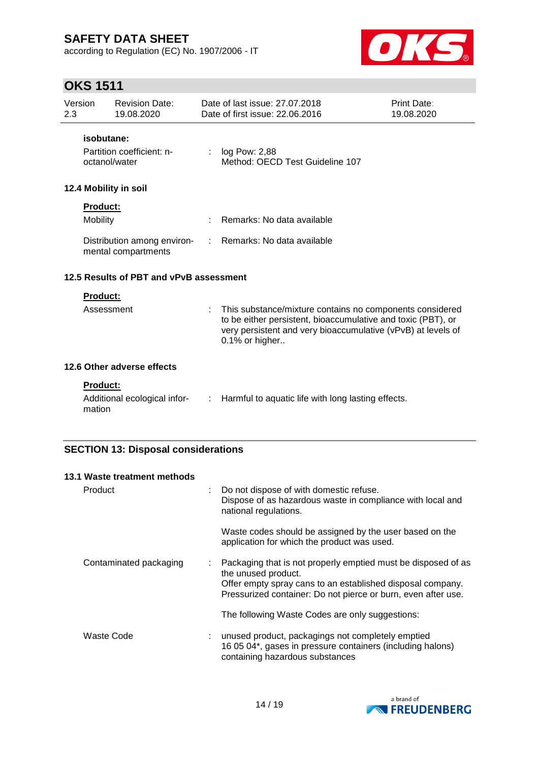according to Regulation (EC) No. 1907/2006 - IT



# **OKS 1511**

| Version<br>2.3              | <b>Revision Date:</b><br>19.08.2020                      |    | Date of last issue: 27,07,2018<br>Date of first issue: 22.06.2016                                                                                                                                          | Print Date:<br>19.08.2020 |
|-----------------------------|----------------------------------------------------------|----|------------------------------------------------------------------------------------------------------------------------------------------------------------------------------------------------------------|---------------------------|
|                             | isobutane:<br>Partition coefficient: n-<br>octanol/water | ÷  | log Pow: 2,88<br>Method: OECD Test Guideline 107                                                                                                                                                           |                           |
|                             | 12.4 Mobility in soil                                    |    |                                                                                                                                                                                                            |                           |
| <b>Product:</b><br>Mobility |                                                          |    | Remarks: No data available                                                                                                                                                                                 |                           |
|                             | Distribution among environ-<br>mental compartments       | ÷  | Remarks: No data available                                                                                                                                                                                 |                           |
|                             | 12.5 Results of PBT and vPvB assessment                  |    |                                                                                                                                                                                                            |                           |
| <b>Product:</b>             | Assessment                                               |    | This substance/mixture contains no components considered<br>to be either persistent, bioaccumulative and toxic (PBT), or<br>very persistent and very bioaccumulative (vPvB) at levels of<br>0.1% or higher |                           |
|                             | 12.6 Other adverse effects                               |    |                                                                                                                                                                                                            |                           |
| Product:<br>mation          | Additional ecological infor-                             | t. | Harmful to aquatic life with long lasting effects.                                                                                                                                                         |                           |

| 13.1 Waste treatment methods |                                                                                                                                                                                                                     |
|------------------------------|---------------------------------------------------------------------------------------------------------------------------------------------------------------------------------------------------------------------|
| Product                      | Do not dispose of with domestic refuse.<br>Dispose of as hazardous waste in compliance with local and<br>national regulations.                                                                                      |
|                              | Waste codes should be assigned by the user based on the<br>application for which the product was used.                                                                                                              |
| Contaminated packaging       | Packaging that is not properly emptied must be disposed of as<br>the unused product.<br>Offer empty spray cans to an established disposal company.<br>Pressurized container: Do not pierce or burn, even after use. |
|                              | The following Waste Codes are only suggestions:                                                                                                                                                                     |
| Waste Code                   | unused product, packagings not completely emptied<br>16 05 04*, gases in pressure containers (including halons)<br>containing hazardous substances                                                                  |

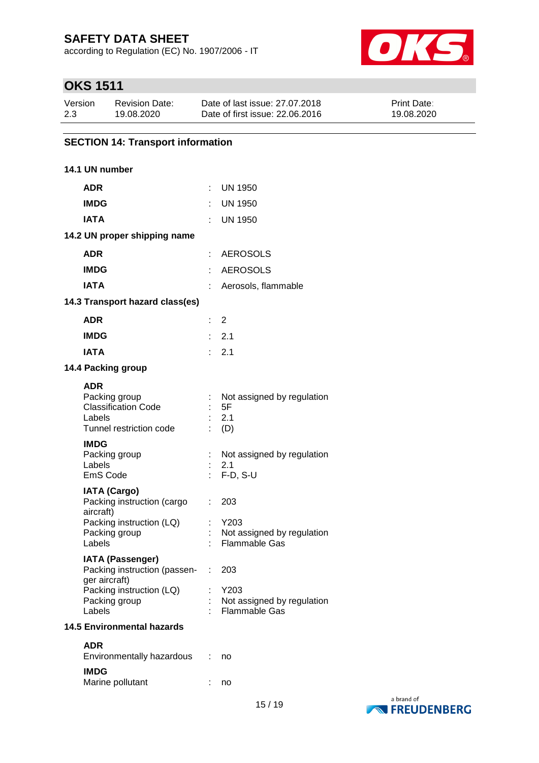according to Regulation (EC) No. 1907/2006 - IT



# **OKS 1511**

| Version | Revision Date: | Date of last issue: 27.07.2018  | <b>Print Date:</b> |
|---------|----------------|---------------------------------|--------------------|
| 2.3     | 19.08.2020     | Date of first issue: 22,06,2016 | 19.08.2020         |

### **SECTION 14: Transport information**

### **14.1 UN number**

**IMDG**

Marine pollutant : no

| <b>ADR</b>                                                                                                              |    | <b>UN 1950</b>                                                    |
|-------------------------------------------------------------------------------------------------------------------------|----|-------------------------------------------------------------------|
| <b>IMDG</b>                                                                                                             |    | <b>UN 1950</b>                                                    |
| <b>IATA</b>                                                                                                             |    | <b>UN 1950</b>                                                    |
| 14.2 UN proper shipping name                                                                                            |    |                                                                   |
| <b>ADR</b>                                                                                                              |    | <b>AEROSOLS</b>                                                   |
| <b>IMDG</b>                                                                                                             |    | <b>AEROSOLS</b>                                                   |
| <b>IATA</b>                                                                                                             |    | Aerosols, flammable                                               |
| 14.3 Transport hazard class(es)                                                                                         |    |                                                                   |
| <b>ADR</b>                                                                                                              |    | 2                                                                 |
| <b>IMDG</b>                                                                                                             |    | $\therefore$ 2.1                                                  |
| <b>IATA</b>                                                                                                             |    | 2.1                                                               |
| 14.4 Packing group                                                                                                      |    |                                                                   |
| ADR<br>Packing group<br><b>Classification Code</b><br>Labels<br>Tunnel restriction code                                 |    | Not assigned by regulation<br>5F<br>2.1<br>(D)                    |
| <b>IMDG</b><br>Packing group<br>Labels<br>EmS Code                                                                      | ÷. | Not assigned by regulation<br>2.1<br>$F-D, S-U$                   |
| <b>IATA (Cargo)</b><br>Packing instruction (cargo<br>aircraft)<br>Packing instruction (LQ)<br>Packing group<br>Labels   | t. | 203<br>Y203<br>Not assigned by regulation<br><b>Flammable Gas</b> |
| <b>IATA (Passenger)</b><br>Packing instruction (passen- :<br>ger aircraft)<br>Packing instruction (LQ)<br>Packing group |    | 203<br>Y203<br>Not assigned by regulation                         |
| Labels<br><b>14.5 Environmental hazards</b>                                                                             |    | <b>Flammable Gas</b>                                              |
|                                                                                                                         |    |                                                                   |
| <b>ADR</b><br>Environmentally hazardous                                                                                 |    | no                                                                |

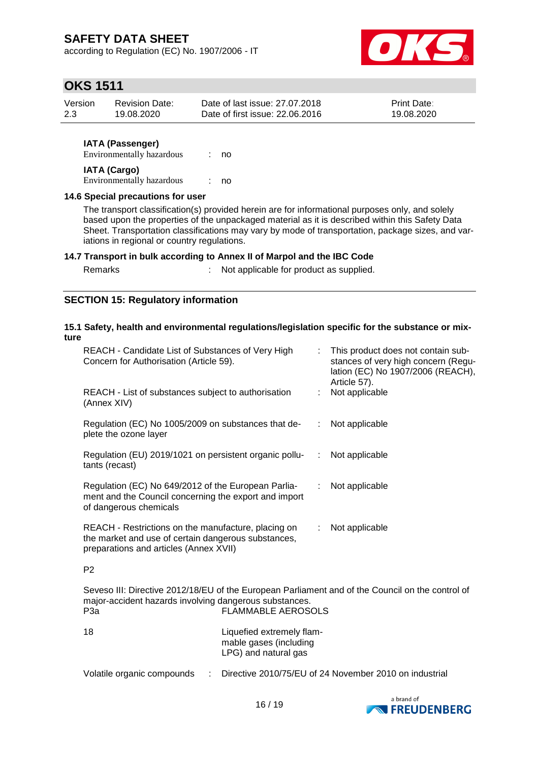according to Regulation (EC) No. 1907/2006 - IT



## **OKS 1511**

| Version | <b>Revision Date:</b> | Date of last issue: 27,07,2018  | <b>Print Date:</b> |
|---------|-----------------------|---------------------------------|--------------------|
| 2.3     | 19.08.2020            | Date of first issue: 22.06.2016 | 19.08.2020         |

### **IATA (Passenger)**

Environmentally hazardous : no **IATA (Cargo)**

Environmentally hazardous : no

### **14.6 Special precautions for user**

The transport classification(s) provided herein are for informational purposes only, and solely based upon the properties of the unpackaged material as it is described within this Safety Data Sheet. Transportation classifications may vary by mode of transportation, package sizes, and variations in regional or country regulations.

### **14.7 Transport in bulk according to Annex II of Marpol and the IBC Code**

Remarks : Not applicable for product as supplied.

### **SECTION 15: Regulatory information**

#### **15.1 Safety, health and environmental regulations/legislation specific for the substance or mixture**

| REACH - Candidate List of Substances of Very High<br>Concern for Authorisation (Article 59).                                                         | This product does not contain sub-<br>stances of very high concern (Regu-<br>lation (EC) No 1907/2006 (REACH),<br>Article 57). |  |  |
|------------------------------------------------------------------------------------------------------------------------------------------------------|--------------------------------------------------------------------------------------------------------------------------------|--|--|
| REACH - List of substances subject to authorisation<br>(Annex XIV)                                                                                   | Not applicable                                                                                                                 |  |  |
| Regulation (EC) No 1005/2009 on substances that de-<br>plete the ozone layer                                                                         | : Not applicable                                                                                                               |  |  |
| Regulation (EU) 2019/1021 on persistent organic pollu-<br>tants (recast)                                                                             | : Not applicable                                                                                                               |  |  |
| Regulation (EC) No 649/2012 of the European Parlia-<br>ment and the Council concerning the export and import<br>of dangerous chemicals               | Not applicable<br>$\mathcal{L}$                                                                                                |  |  |
| REACH - Restrictions on the manufacture, placing on<br>the market and use of certain dangerous substances,<br>preparations and articles (Annex XVII) | Not applicable<br>$\mathbb{Z}^{\mathbb{Z}}$                                                                                    |  |  |
| P <sub>2</sub>                                                                                                                                       |                                                                                                                                |  |  |
| Seveso III: Directive 2012/18/EU of the European Parliament and of the Council on the control of                                                     |                                                                                                                                |  |  |

| P <sub>3</sub> a | <b>FLAMMABLE AEROSOLS</b>                                                   |
|------------------|-----------------------------------------------------------------------------|
| 18               | Liquefied extremely flam-<br>mable gases (including<br>LPG) and natural gas |
|                  |                                                                             |

major-accident hazards involving dangerous substances.

Volatile organic compounds : Directive 2010/75/EU of 24 November 2010 on industrial

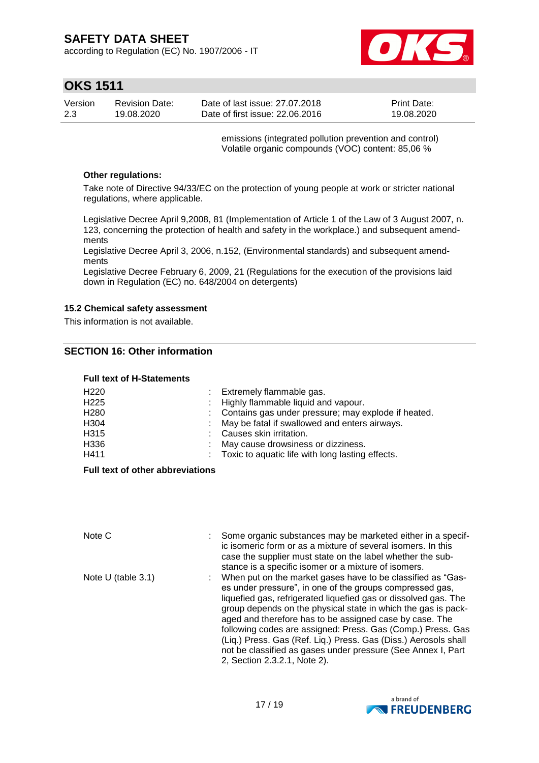according to Regulation (EC) No. 1907/2006 - IT



## **OKS 1511**

| Version | <b>Revision Date:</b> | Date of last issue: 27.07.2018  | <b>Print Date:</b> |
|---------|-----------------------|---------------------------------|--------------------|
| 2.3     | 19.08.2020            | Date of first issue: 22.06.2016 | 19.08.2020         |

emissions (integrated pollution prevention and control) Volatile organic compounds (VOC) content: 85,06 %

### **Other regulations:**

Take note of Directive 94/33/EC on the protection of young people at work or stricter national regulations, where applicable.

Legislative Decree April 9,2008, 81 (Implementation of Article 1 of the Law of 3 August 2007, n. 123, concerning the protection of health and safety in the workplace.) and subsequent amendments

Legislative Decree April 3, 2006, n.152, (Environmental standards) and subsequent amendments

Legislative Decree February 6, 2009, 21 (Regulations for the execution of the provisions laid down in Regulation (EC) no. 648/2004 on detergents)

#### **15.2 Chemical safety assessment**

This information is not available.

### **SECTION 16: Other information**

#### **Full text of H-Statements**

| H <sub>220</sub> | : Extremely flammable gas.                            |
|------------------|-------------------------------------------------------|
| H <sub>225</sub> | : Highly flammable liquid and vapour.                 |
| H <sub>280</sub> | : Contains gas under pressure; may explode if heated. |
| H304             | : May be fatal if swallowed and enters airways.       |
| H315             | : Causes skin irritation.                             |
| H336             | May cause drowsiness or dizziness.                    |
| H411             | : Toxic to aquatic life with long lasting effects.    |

#### **Full text of other abbreviations**

| Note C               | Some organic substances may be marketed either in a specif-<br>ic isomeric form or as a mixture of several isomers. In this<br>case the supplier must state on the label whether the sub-<br>stance is a specific isomer or a mixture of isomers.                                                                                                                                                                                                                                                                                                        |
|----------------------|----------------------------------------------------------------------------------------------------------------------------------------------------------------------------------------------------------------------------------------------------------------------------------------------------------------------------------------------------------------------------------------------------------------------------------------------------------------------------------------------------------------------------------------------------------|
| Note $U$ (table 3.1) | When put on the market gases have to be classified as "Gas-<br>es under pressure", in one of the groups compressed gas,<br>liquefied gas, refrigerated liquefied gas or dissolved gas. The<br>group depends on the physical state in which the gas is pack-<br>aged and therefore has to be assigned case by case. The<br>following codes are assigned: Press. Gas (Comp.) Press. Gas<br>(Liq.) Press. Gas (Ref. Liq.) Press. Gas (Diss.) Aerosols shall<br>not be classified as gases under pressure (See Annex I, Part<br>2, Section 2.3.2.1, Note 2). |

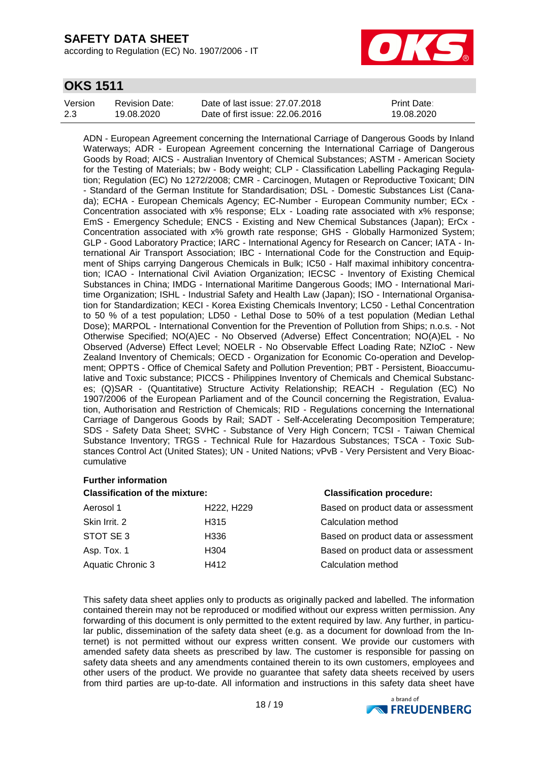according to Regulation (EC) No. 1907/2006 - IT



## **OKS 1511**

| Version | Revision Date: | Date of last issue: 27,07,2018  | <b>Print Date:</b> |
|---------|----------------|---------------------------------|--------------------|
| 2.3     | 19.08.2020     | Date of first issue: 22.06.2016 | 19.08.2020         |

ADN - European Agreement concerning the International Carriage of Dangerous Goods by Inland Waterways; ADR - European Agreement concerning the International Carriage of Dangerous Goods by Road; AICS - Australian Inventory of Chemical Substances; ASTM - American Society for the Testing of Materials; bw - Body weight; CLP - Classification Labelling Packaging Regulation; Regulation (EC) No 1272/2008; CMR - Carcinogen, Mutagen or Reproductive Toxicant; DIN - Standard of the German Institute for Standardisation; DSL - Domestic Substances List (Canada); ECHA - European Chemicals Agency; EC-Number - European Community number; ECx - Concentration associated with x% response; ELx - Loading rate associated with x% response; EmS - Emergency Schedule; ENCS - Existing and New Chemical Substances (Japan); ErCx - Concentration associated with x% growth rate response; GHS - Globally Harmonized System; GLP - Good Laboratory Practice; IARC - International Agency for Research on Cancer; IATA - International Air Transport Association; IBC - International Code for the Construction and Equipment of Ships carrying Dangerous Chemicals in Bulk; IC50 - Half maximal inhibitory concentration; ICAO - International Civil Aviation Organization; IECSC - Inventory of Existing Chemical Substances in China; IMDG - International Maritime Dangerous Goods; IMO - International Maritime Organization; ISHL - Industrial Safety and Health Law (Japan); ISO - International Organisation for Standardization; KECI - Korea Existing Chemicals Inventory; LC50 - Lethal Concentration to 50 % of a test population; LD50 - Lethal Dose to 50% of a test population (Median Lethal Dose); MARPOL - International Convention for the Prevention of Pollution from Ships; n.o.s. - Not Otherwise Specified; NO(A)EC - No Observed (Adverse) Effect Concentration; NO(A)EL - No Observed (Adverse) Effect Level; NOELR - No Observable Effect Loading Rate; NZIoC - New Zealand Inventory of Chemicals; OECD - Organization for Economic Co-operation and Development; OPPTS - Office of Chemical Safety and Pollution Prevention; PBT - Persistent, Bioaccumulative and Toxic substance; PICCS - Philippines Inventory of Chemicals and Chemical Substances; (Q)SAR - (Quantitative) Structure Activity Relationship; REACH - Regulation (EC) No 1907/2006 of the European Parliament and of the Council concerning the Registration, Evaluation, Authorisation and Restriction of Chemicals; RID - Regulations concerning the International Carriage of Dangerous Goods by Rail; SADT - Self-Accelerating Decomposition Temperature; SDS - Safety Data Sheet; SVHC - Substance of Very High Concern; TCSI - Taiwan Chemical Substance Inventory; TRGS - Technical Rule for Hazardous Substances; TSCA - Toxic Substances Control Act (United States); UN - United Nations; vPvB - Very Persistent and Very Bioaccumulative

### **Further information**

| <b>Classification of the mixture:</b> |                                     | <b>Classification procedure:</b>    |  |
|---------------------------------------|-------------------------------------|-------------------------------------|--|
| Aerosol 1                             | H <sub>222</sub> , H <sub>229</sub> | Based on product data or assessment |  |
| Skin Irrit, 2                         | H <sub>315</sub>                    | Calculation method                  |  |
| STOT SE 3                             | H336                                | Based on product data or assessment |  |
| Asp. Tox. 1                           | H <sub>304</sub>                    | Based on product data or assessment |  |
| Aquatic Chronic 3                     | H412                                | Calculation method                  |  |

This safety data sheet applies only to products as originally packed and labelled. The information contained therein may not be reproduced or modified without our express written permission. Any forwarding of this document is only permitted to the extent required by law. Any further, in particular public, dissemination of the safety data sheet (e.g. as a document for download from the Internet) is not permitted without our express written consent. We provide our customers with amended safety data sheets as prescribed by law. The customer is responsible for passing on safety data sheets and any amendments contained therein to its own customers, employees and other users of the product. We provide no guarantee that safety data sheets received by users from third parties are up-to-date. All information and instructions in this safety data sheet have